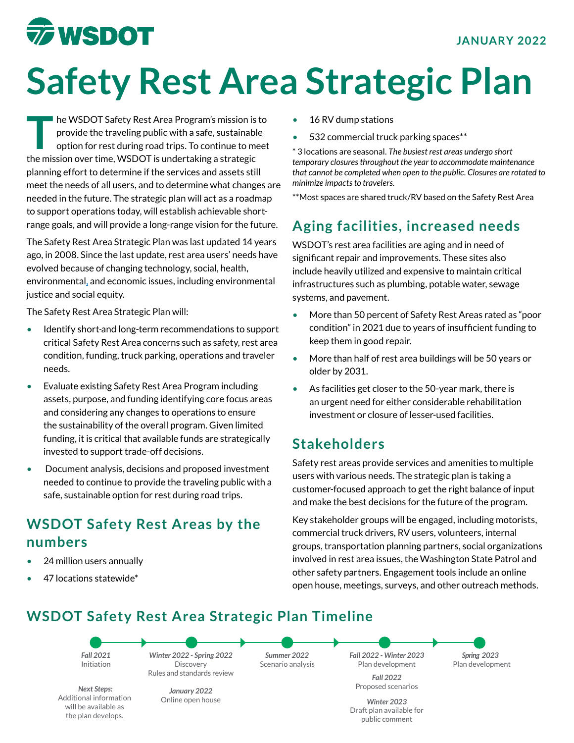## **The WSDOT**

# **Safety Rest Area Strategic Plan**

THE THE WARD TO THE SAFETY REST Area Program's mission is to provide the traveling public with a safe, sustainable option for rest during road trips. To continue to meet provide the traveling public with a safe, sustainable the mission over time, WSDOT is undertaking a strategic planning effort to determine if the services and assets still meet the needs of all users, and to determine what changes are needed in the future. The strategic plan will act as a roadmap to support operations today, will establish achievable shortrange goals, and will provide a long-range vision for the future.

The Safety Rest Area Strategic Plan was last updated 14 years ago, in 2008. Since the last update, rest area users' needs have evolved because of changing technology, social, health, environmental, and economic issues, including environmental justice and social equity.  

The Safety Rest Area Strategic Plan will:

- Identify short-and long-term recommendations to support critical Safety Rest Area concerns such as safety, rest area condition, funding, truck parking, operations and traveler needs.
- Evaluate existing Safety Rest Area Program including assets, purpose, and funding identifying core focus areas and considering any changes to operations to ensure the sustainability of the overall program. Given limited funding, it is critical that available funds are strategically invested to support trade-off decisions.
- Document analysis, decisions and proposed investment needed to continue to provide the traveling public with a safe, sustainable option for rest during road trips.

#### **WSDOT Safety Rest Areas by the numbers**

- 24 million users annually
- 47 locations statewide\*
- 16 RV dump stations
- 532 commercial truck parking spaces\*\*

\* 3 locations are seasonal. *The busiest rest areas undergo short temporary closuresthroughout the year to accommodate maintenance that cannot be completed when open to the public. Closures are rotated to minimize impacts to travelers.*

\*\*Most spaces are shared truck/RV based on the Safety Rest Area

### **Aging facilities, increased needs**

WSDOT's rest area facilities are aging and in need of significant repair and improvements. These sites also include heavily utilized and expensive to maintain critical infrastructures such as plumbing, potable water, sewage systems, and pavement.

- More than 50 percent of Safety Rest Areas rated as "poor condition" in 2021 due to years of insufficient funding to keep them in good repair.
- More than half of rest area buildings will be 50 years or older by 2031.
- As facilities get closer to the 50-year mark, there is an urgent need for either considerable rehabilitation investment or closure of lesser-used facilities.

#### **Stakeholders**

Safety rest areas provide services and amenities to multiple users with various needs. The strategic plan is taking a customer-focused approach to get the right balance of input and make the best decisions for the future of the program.  

Key stakeholder groups will be engaged, including motorists, commercial truck drivers, RV users, volunteers, internal groups, transportation planning partners, social organizations involved in rest area issues, the Washington State Patrol and other safety partners. Engagement tools include an online open house, meetings, surveys, and other outreach methods.

#### **WSDOT Safety Rest Area Strategic Plan Timeline**



*Next Steps:* Additional information will be available as the plan develops.

Proposed scenarios *January 2022* Online open house

*Spring 2023* Plan development

*Winter 2023* Draft plan available for public comment